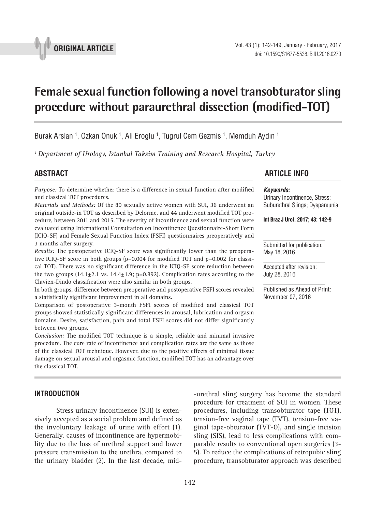

## **Female sexual function following a novel transobturator sling procedure without paraurethral dissection (modified-TOT) Processing indices parameters** in the context  $\mu$  is a material function of  $\mu$

Burak Arslan <sup>1</sup>, Ozkan Onuk <sup>1</sup>, Ali Eroglu <sup>1</sup>, Tugrul Cem Gezmis <sup>1</sup>, Memduh Aydın <sup>1</sup>

*1 Department of Urology, Istanbul Taksim Training and Research Hospital, Turkey* 

*Purpose:* To determine whether there is a difference in sexual function after modified and classical TOT procedures.

*Materials and Methods:* Of the 80 sexually active women with SUI, 36 underwent an original outside-in TOT as described by Delorme, and 44 underwent modified TOT procedure, between 2011 and 2015. The severity of incontinence and sexual function were evaluated using International Consultation on Incontinence Questionnaire-Short Form (ICIQ-SF) and Female Sexual Function Index (FSFI) questionnaires preoperatively and 3 months after surgery.

*Results:* The postoperative ICIQ-SF score was significantly lower than the preoperative ICIQ-SF score in both groups (p=0.004 for modified TOT and p=0.002 for classical TOT). There was no significant difference in the ICIQ-SF score reduction between the two groups  $(14.1 \pm 2.1 \text{ vs. } 14.4 \pm 1.9; \text{ p} = 0.892)$ . Complication rates according to the Clavien-Dindo classification were also similar in both groups.

In both groups, difference between preoperative and postoperative FSFI scores revealed a statistically significant improvement in all domains*.*

Comparison of postoperative 3-month FSFI scores of modified and classical TOT groups showed statistically significant differences in arousal, lubrication and orgasm domains. Desire, satisfaction, pain and total FSFI scores did not differ significantly between two groups.

*Conclusion:* The modified TOT technique is a simple, reliable and minimal invasive procedure. The cure rate of incontinence and complication rates are the same as those of the classical TOT technique. However, due to the positive effects of minimal tissue damage on sexual arousal and orgasmic function, modified TOT has an advantage over the classical TOT.

### **INTRODUCTION**

Stress urinary incontinence (SUI) is extensively accepted as a social problem and defined as the involuntary leakage of urine with effort (1). Generally, causes of incontinence are hypermobility due to the loss of urethral support and lower pressure transmission to the urethra, compared to the urinary bladder (2). In the last decade, mid-

-urethral sling surgery has become the standard procedure for treatment of SUI in women. These procedures, including transobturator tape (TOT), tension-free vaginal tape (TVT), tension-free vaginal tape-obturator (TVT-O), and single incision sling (SIS), lead to less complications with comparable results to conventional open surgeries (3- 5). To reduce the complications of retropubic sling procedure, transobturator approach was described

# **ABSTRACT ARTICLE INFO** *\_\_\_\_\_\_\_\_\_\_\_\_\_\_\_\_\_\_\_\_\_\_\_\_\_\_\_\_\_\_\_\_\_\_\_\_\_\_\_\_\_\_\_\_\_\_\_\_\_\_\_\_\_\_\_\_\_\_\_\_\_\_ \_\_\_\_\_\_\_\_\_\_\_\_\_\_\_\_\_\_\_\_\_\_*

#### *Keywords:*

Urinary Incontinence, Stress; Suburethral Slings; Dyspareunia

**Int Braz J Urol. 2017; 43: 142-9**

Submitted for publication: May 18, 2016

Accepted after revision: July 28, 2016

Published as Ahead of Print: November 07, 2016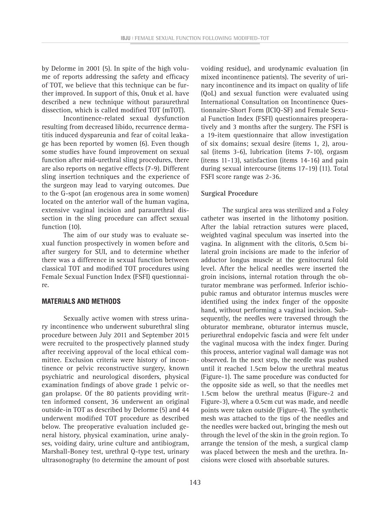by Delorme in 2001 (5). In spite of the high volume of reports addressing the safety and efficacy of TOT, we believe that this technique can be further improved. In support of this, Onuk et al. have described a new technique without paraurethral dissection, which is called modified TOT (mTOT).

Incontinence-related sexual dysfunction resulting from decreased libido, recurrence dermatitis induced dyspareunia and fear of coital leakage has been reported by women (6). Even though some studies have found improvement on sexual function after mid-urethral sling procedures, there are also reports on negative effects (7-9). Different sling insertion techniques and the experience of the surgeon may lead to varying outcomes. Due to the G-spot (an erogenous area in some women) located on the anterior wall of the human vagina, extensive vaginal incision and paraurethral dissection in the sling procedure can affect sexual function (10).

The aim of our study was to evaluate sexual function prospectively in women before and after surgery for SUI, and to determine whether there was a difference in sexual function between classical TOT and modified TOT procedures using Female Sexual Function Index (FSFI) questionnaire.

#### **MATERIALS AND METHODS**

Sexually active women with stress urinary incontinence who underwent suburethral sling procedure between July 2011 and September 2015 were recruited to the prospectively planned study after receiving approval of the local ethical committee. Exclusion criteria were history of incontinence or pelvic reconstructive surgery, known psychiatric and neurological disorders, physical examination findings of above grade 1 pelvic organ prolapse. Of the 80 patients providing written informed consent, 36 underwent an original outside-in TOT as described by Delorme (5) and 44 underwent modified TOT procedure as described below. The preoperative evaluation included general history, physical examination, urine analyses, voiding dairy, urine culture and antibiogram, Marshall-Boney test, urethral Q-type test, urinary ultrasonography (to determine the amount of post voiding residue), and urodynamic evaluation (in mixed incontinence patients). The severity of urinary incontinence and its impact on quality of life (QoL) and sexual function were evaluated using International Consultation on Incontinence Questionnaire-Short Form (ICIQ-SF) and Female Sexual Function Index (FSFI) questionnaires preoperatively and 3 months after the surgery. The FSFI is a 19-item questionnaire that allow investigation of six domains; sexual desire (items 1, 2), arousal (items 3-6), lubrication (items 7-10), orgasm (items 11-13), satisfaction (items 14-16) and pain during sexual intercourse (items 17-19) (11). Total FSFI score range was 2-36.

#### **Surgical Procedure**

The surgical area was sterilized and a Foley catheter was inserted in the lithotomy position. After the labial retraction sutures were placed, weighted vaginal speculum was inserted into the vagina. In alignment with the clitoris, 0.5cm bilateral groin incisions are made to the inferior of adductor longus muscle at the genitocrural fold level. After the helical needles were inserted the groin incisions, internal rotation through the obturator membrane was performed. Inferior ischiopubic ramus and obturator internus muscles were identified using the index finger of the opposite hand, without performing a vaginal incision. Subsequently, the needles were traversed through the obturator membrane, obturator internus muscle, periurethral endopelvic fascia and were felt under the vaginal mucosa with the index finger. During this process, anterior vaginal wall damage was not observed. In the next step, the needle was pushed until it reached 1.5cm below the urethral meatus (Figure-1). The same procedure was conducted for the opposite side as well, so that the needles met 1.5cm below the urethral meatus (Figure-2 and Figure-3), where a 0.5cm cut was made, and needle points were taken outside (Figure-4). The synthetic mesh was attached to the tips of the needles and the needles were backed out, bringing the mesh out through the level of the skin in the groin region. To arrange the tension of the mesh, a surgical clamp was placed between the mesh and the urethra. Incisions were closed with absorbable sutures.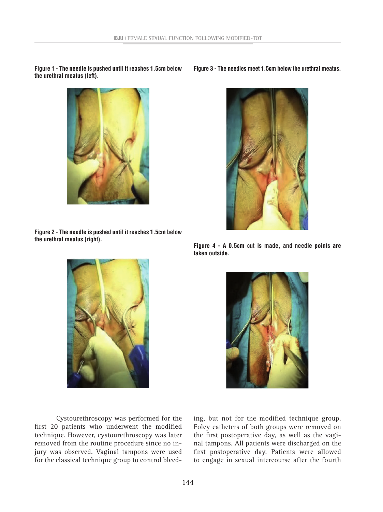**Figure 1 - The needle is pushed until it reaches 1.5cm below the urethral meatus (left).**

**Figure 2 - The needle is pushed until it reaches 1.5cm below the urethral meatus (right).**



**Figure 4 - A 0.5cm cut is made, and needle points are taken outside.**



Cystourethroscopy was performed for the first 20 patients who underwent the modified technique. However, cystourethroscopy was later removed from the routine procedure since no injury was observed. Vaginal tampons were used for the classical technique group to control bleeding, but not for the modified technique group. Foley catheters of both groups were removed on the first postoperative day, as well as the vaginal tampons. All patients were discharged on the first postoperative day. Patients were allowed to engage in sexual intercourse after the fourth

**Figure 3 - The needles meet 1.5cm below the urethral meatus.**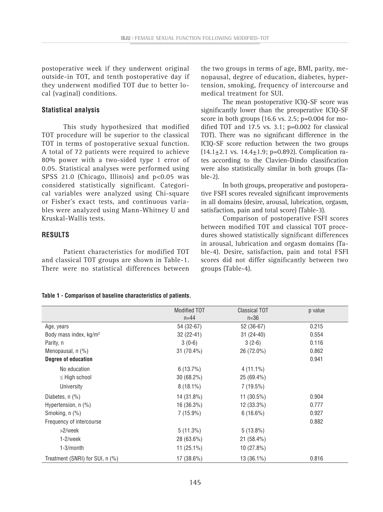postoperative week if they underwent original outside-in TOT, and tenth postoperative day if they underwent modified TOT due to better local (vaginal) conditions.

#### **Statistical analysis**

This study hypothesized that modified TOT procedure will be superior to the classical TOT in terms of postoperative sexual function. A total of 72 patients were required to achieve 80% power with a two-sided type 1 error of 0.05. Statistical analyses were performed using SPSS 21.0 (Chicago, Illinois) and  $p<0.05$  was considered statistically significant. Categorical variables were analyzed using Chi-square or Fisher's exact tests, and continuous variables were analyzed using Mann-Whitney U and Kruskal-Wallis tests.

#### **RESULTS**

Patient characteristics for modified TOT and classical TOT groups are shown in Table-1. There were no statistical differences between the two groups in terms of age, BMI, parity, menopausal, degree of education, diabetes, hypertension, smoking, frequency of intercourse and medical treatment for SUI.

The mean postoperative ICIQ-SF score was significantly lower than the preoperative ICIQ-SF score in both groups (16.6 vs. 2.5; p=0.004 for modified TOT and  $17.5$  vs.  $3.1$ ;  $p=0.002$  for classical TOT). There was no significant difference in the ICIQ-SF score reduction between the two groups  $(14.1 \pm 2.1 \text{ vs. } 14.4 \pm 1.9; \text{ p=0.892}).$  Complication rates according to the Clavien-Dindo classification were also statistically similar in both groups (Table-2).

In both groups, preoperative and postoperative FSFI scores revealed significant improvements in all domains (desire, arousal, lubrication, orgasm, satisfaction, pain and total score) (Table-3).

Comparison of postoperative FSFI scores between modified TOT and classical TOT procedures showed statistically significant differences in arousal, lubrication and orgasm domains (Table-4). Desire, satisfaction, pain and total FSFI scores did not differ significantly between two groups (Table-4).

#### **Table 1 - Comparison of baseline characteristics of patients.**

|                                    | <b>Modified TOT</b> | <b>Classical TOT</b> | p value |
|------------------------------------|---------------------|----------------------|---------|
|                                    | $n=44$              | $n=36$               |         |
| Age, years                         | 54 (32-67)          | 52 (36-67)           | 0.215   |
| Body mass index, kg/m <sup>2</sup> | $32(22-41)$         | $31(24-40)$          | 0.554   |
| Parity, n                          | $3(0-6)$            | $3(2-6)$             | 0.116   |
| Menopausal, n (%)                  | 31 (70.4%)          | 26 (72.0%)           | 0.862   |
| <b>Degree of education</b>         |                     |                      | 0.941   |
| No education                       | 6(13.7%)            | $4(11.1\%)$          |         |
| $\leq$ High school                 | $30(68.2\%)$        | 25 (69.4%)           |         |
| University                         | $8(18.1\%)$         | $7(19.5\%)$          |         |
| Diabetes, $n$ (%)                  | 14 (31.8%)          | 11 $(30.5\%)$        | 0.904   |
| Hypertension, $n$ (%)              | 16 (36.3%)          | 12 (33.3%)           | 0.777   |
| Smoking, n (%)                     | $7(15.9\%)$         | $6(16.6\%)$          | 0.927   |
| Frequency of intercourse           |                     |                      | 0.882   |
| >2/week                            | $5(11.3\%)$         | $5(13.8\%)$          |         |
| $1-2$ /week                        | 28 (63.6%)          | $21(58.4\%)$         |         |
| $1-3/m$ onth                       | 11 $(25.1\%)$       | 10(27.8%)            |         |
| Treatment (SNRI) for SUI, n (%)    | 17 (38.6%)          | 13 (36.1%)           | 0.816   |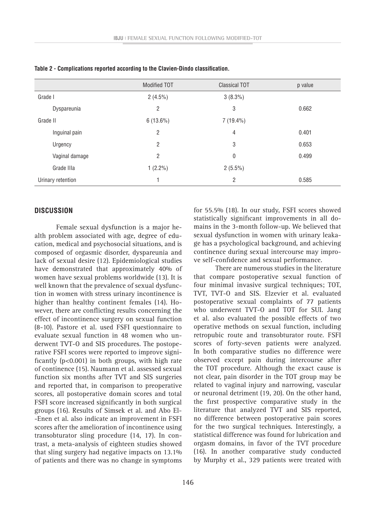|                   | <b>Modified TOT</b> | <b>Classical TOT</b> | p value |
|-------------------|---------------------|----------------------|---------|
| Grade I           | $2(4.5\%)$          | $3(8.3\%)$           |         |
| Dyspareunia       | 2                   | 3                    | 0.662   |
| Grade II          | $6(13.6\%)$         | $7(19.4\%)$          |         |
| Inguinal pain     | 2                   | 4                    | 0.401   |
| Urgency           | 2                   | 3                    | 0.653   |
| Vaginal damage    | 2                   | $\mathbf 0$          | 0.499   |
| Grade IIIa        | $1(2.2\%)$          | $2(5.5\%)$           |         |
| Urinary retention | н                   | 2                    | 0.585   |

**Table 2 - Complications reported according to the Clavien-Dindo classification.**

#### **DISCUSSION**

Female sexual dysfunction is a major health problem associated with age, degree of education, medical and psychosocial situations, and is composed of orgasmic disorder, dyspareunia and lack of sexual desire (12). Epidemiological studies have demonstrated that approximately 40% of women have sexual problems worldwide (13). It is well known that the prevalence of sexual dysfunction in women with stress urinary incontinence is higher than healthy continent females (14). However, there are conflicting results concerning the effect of incontinence surgery on sexual function (8-10). Pastore et al. used FSFI questionnaire to evaluate sexual function in 48 women who underwent TVT-O and SIS procedures. The postoperative FSFI scores were reported to improve significantly (p<0.001) in both groups, with high rate of continence (15). Naumann et al. assessed sexual function six months after TVT and SIS surgeries and reported that, in comparison to preoperative scores, all postoperative domain scores and total FSFI score increased significantly in both surgical groups (16). Results of Simsek et al. and Abo El- -Enen et al. also indicate an improvement in FSFI scores after the amelioration of incontinence using transobturator sling procedure (14, 17). In contrast, a meta-analysis of eighteen studies showed that sling surgery had negative impacts on 13.1% of patients and there was no change in symptoms

for 55.5% (18). In our study, FSFI scores showed statistically significant improvements in all domains in the 3-month follow-up. We believed that sexual dysfunction in women with urinary leakage has a psychological background, and achieving continence during sexual intercourse may improve self-confidence and sexual performance.

There are numerous studies in the literature that compare postoperative sexual function of four minimal invasive surgical techniques; TOT, TVT, TVT-O and SIS. Elzevier et al. evaluated postoperative sexual complaints of 77 patients who underwent TVT-O and TOT for SUI. Jang et al. also evaluated the possible effects of two operative methods on sexual function, including retropubic route and transobturator route. FSFI scores of forty-seven patients were analyzed. In both comparative studies no difference were observed except pain during intercourse after the TOT procedure. Although the exact cause is not clear, pain disorder in the TOT group may be related to vaginal injury and narrowing, vascular or neuronal detriment (19, 20). On the other hand, the first prospective comparative study in the literature that analyzed TVT and SIS reported, no difference between postoperative pain scores for the two surgical techniques. Interestingly, a statistical difference was found for lubrication and orgasm domains, in favor of the TVT procedure (16). In another comparative study conducted by Murphy et al., 329 patients were treated with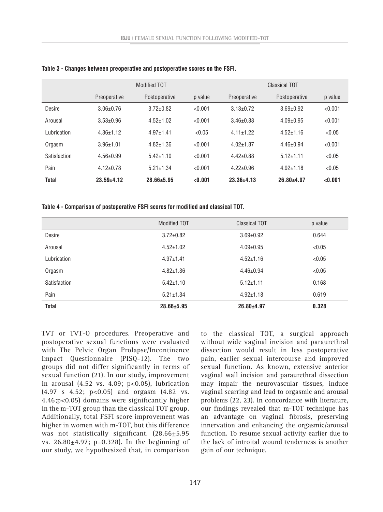|              |                 | <b>Modified TOT</b> |         | Classical TOT   |                 |         |
|--------------|-----------------|---------------------|---------|-----------------|-----------------|---------|
|              | Preoperative    | Postoperative       | p value | Preoperative    | Postoperative   | p value |
| Desire       | $3.06 \pm 0.76$ | $3.72 \pm 0.82$     | < 0.001 | $3.13 \pm 0.72$ | $3.69 \pm 0.92$ | < 0.001 |
| Arousal      | $3.53 \pm 0.96$ | $4.52 + 1.02$       | < 0.001 | $3.46 + 0.88$   | $4.09 + 0.95$   | < 0.001 |
| Lubrication  | $4.36 + 1.12$   | $4.97+1.41$         | < 0.05  | $4.11+1.22$     | $4.52 + 1.16$   | < 0.05  |
| Orgasm       | $3.96 + 1.01$   | $4.82 + 1.36$       | < 0.001 | $4.02 + 1.87$   | $4.46 + 0.94$   | < 0.001 |
| Satisfaction | $4.56 + 0.99$   | $5.42 + 1.10$       | < 0.001 | $4.42 + 0.88$   | $5.12 + 1.11$   | < 0.05  |
| Pain         | $4.12 \pm 0.78$ | $5.21 \pm 1.34$     | < 0.001 | $4.22 \pm 0.96$ | $4.92 \pm 1.18$ | < 0.05  |
| <b>Total</b> | $23.59 + 4.12$  | $28.66 \pm 5.95$    | < 0.001 | $23.36 + 4.13$  | $26.80 + 4.97$  | < 0.001 |

**Table 3 - Changes between preoperative and postoperative scores on the FSFI.**

**Table 4 - Comparison of postoperative FSFI scores for modified and classical TOT.**

|              | <b>Modified TOT</b> | <b>Classical TOT</b> | p value |
|--------------|---------------------|----------------------|---------|
| Desire       | $3.72 \pm 0.82$     | $3.69 \pm 0.92$      | 0.644   |
| Arousal      | $4.52 \pm 1.02$     | $4.09 \pm 0.95$      | < 0.05  |
| Lubrication  | $4.97 \pm 1.41$     | $4.52 \pm 1.16$      | < 0.05  |
| Orgasm       | $4.82 \pm 1.36$     | $4.46 \pm 0.94$      | < 0.05  |
| Satisfaction | $5.42 \pm 1.10$     | $5.12 \pm 1.11$      | 0.168   |
| Pain         | $5.21 \pm 1.34$     | $4.92 \pm 1.18$      | 0.619   |
| <b>Total</b> | $28.66 \pm 5.95$    | $26.80 + 4.97$       | 0.328   |

TVT or TVT-O procedures. Preoperative and postoperative sexual functions were evaluated with The Pelvic Organ Prolapse/Incontinence Impact Questionnaire (PISQ-12). The two groups did not differ significantly in terms of sexual function (21). In our study, improvement in arousal  $(4.52 \text{ vs. } 4.09; \text{ p} < 0.05)$ , lubrication (4.97 s 4.52; p<0.05) and orgasm (4.82 vs. 4.46;p<0.05) domains were significantly higher in the m-TOT group than the classical TOT group. Additionally, total FSFI score improvement was higher in women with m-TOT, but this difference was not statistically significant. (28.66+5.95) vs. 26.80 $\pm$ 4.97; p=0.328). In the beginning of our study, we hypothesized that, in comparison to the classical TOT, a surgical approach without wide vaginal incision and paraurethral dissection would result in less postoperative pain, earlier sexual intercourse and improved sexual function. As known, extensive anterior vaginal wall incision and paraurethral dissection may impair the neurovascular tissues, induce vaginal scarring and lead to orgasmic and arousal problems (22, 23). In concordance with literature, our findings revealed that m-TOT technique has an advantage on vaginal fibrosis, preserving innervation and enhancing the orgasmic/arousal function. To resume sexual activity earlier due to the lack of introital wound tenderness is another gain of our technique.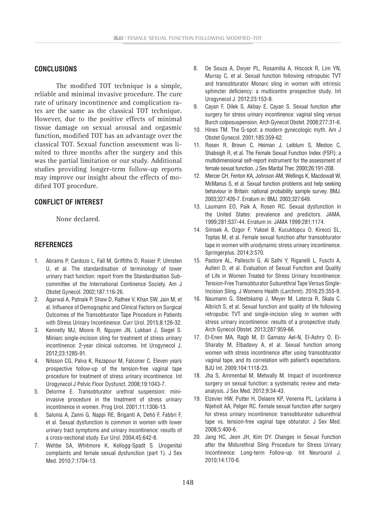#### **CONCLUSIONS**

The modified TOT technique is a simple, reliable and minimal invasive procedure. The cure rate of urinary incontinence and complication rates are the same as the classical TOT technique. However, due to the positive effects of minimal tissue damage on sexual arousal and orgasmic function, modified TOT has an advantage over the classical TOT. Sexual function assessment was limited to three months after the surgery and this was the partial limitation or our study. Additional studies providing longer-term follow-up reports may improve our insight about the effects of modified TOT procedure.

## **CONFLICT OF INTEREST**

None declared.

#### **REFERENCES**

- 1. Abrams P, Cardozo L, Fall M, Griffiths D, Rosier P, Ulmsten U, et al. The standardisation of terminology of lower urinary tract function: report from the Standardisation Subcommittee of the International Continence Society. Am J Obstet Gynecol. 2002;187:116-26.
- 2. Agarwal A, Patnaik P, Shaw D, Rathee V, Khan SW, Jain M, et al. Influence of Demographic and Clinical Factors on Surgical Outcomes of the Transobturator Tape Procedure in Patients with Stress Urinary Incontinence. Curr Urol. 2015;8:126-32.
- 3. Kennelly MJ, Moore R, Nguyen JN, Lukban J, Siegel S. Miniarc single-incision sling for treatment of stress urinary incontinence: 2-year clinical outcomes. Int Urogynecol J. 2012;23:1285-91.
- 4. Nilsson CG, Palva K, Rezapour M, Falconer C. Eleven years prospective follow-up of the tension-free vaginal tape procedure for treatment of stress urinary incontinence. Int Urogynecol J Pelvic Floor Dysfunct. 2008;19:1043-7.
- 5. Delorme E. Transobturator urethral suspension: miniinvasive procedure in the treatment of stress urinary incontinence in women. Prog Urol. 2001;11:1306-13.
- 6. Salonia A, Zanni G, Nappi RE, Briganti A, Dehò F, Fabbri F, et al. Sexual dysfunction is common in women with lower urinary tract symptoms and urinary incontinence: results of a cross-sectional study. Eur Urol. 2004;45:642-8.
- 7. Wehbe SA, Whitmore K, Kellogg-Spadt S. Urogenital complaints and female sexual dysfunction (part 1). J Sex Med. 2010;7:1704-13.
- 8. De Souza A, Dwyer PL, Rosamilia A, Hiscock R, Lim YN, Murray C, et al. Sexual function following retropubic TVT and transobturator Monarc sling in women with intrinsic sphincter deficiency: a multicentre prospective study. Int Urogynecol J. 2012;23:153-8.
- 9. Cayan F, Dilek S, Akbay E, Cayan S. Sexual function after surgery for stress urinary incontinence: vaginal sling versus Burch colposuspension. Arch Gynecol Obstet. 2008;277:31-6.
- 10. Hines TM. The G-spot: a modern gynecologic myth. Am J Obstet Gynecol. 2001;185:359-62.
- 11. Rosen R, Brown C, Heiman J, Leiblum S, Meston C, Shabsigh R, et al. The Female Sexual Function Index (FSFI): a multidimensional self-report instrument for the assessment of female sexual function. J Sex Marital Ther. 2000;26:191-208.
- 12. Mercer CH, Fenton KA, Johnson AM, Wellings K, Macdowall W, McManus S, et al. Sexual function problems and help seeking behaviour in Britain: national probability sample survey. BMJ. 2003;327:426-7. Erratum in: BMJ. 2003;327:649.
- 13. Laumann EO, Paik A, Rosen RC. Sexual dysfunction in the United States: prevalence and predictors. JAMA. 1999;281:537-44. Erratum in: JAMA 1999;281:1174.
- 14. Simsek A, Ozgor F, Yuksel B, Kucuktopcu O, Kirecci SL, Toptas M, et al. Female sexual function after transobturator tape in women with urodynamic stress urinary incontinence. Springerplus. 2014;3:570.
- 15. Pastore AL, Palleschi G, Al Salhi Y, Riganelli L, Fuschi A, Autieri D, et al. Evaluation of Sexual Function and Quality of Life in Women Treated for Stress Urinary Incontinence: Tension-Free Transobturator Suburethral Tape Versus Single-Incision Sling. J Womens Health (Larchmt). 2016;25:355-9.
- 16. Naumann G, Steetskamp J, Meyer M, Laterza R, Skala C, Albrich S, et al. Sexual function and quality of life following retropubic TVT and single-incision sling in women with stress urinary incontinence: results of a prospective study. Arch Gynecol Obstet. 2013;287:959-66.
- 17. El-Enen MA, Ragb M, El Gamasy Ael-N, El-Ashry O, El-Sharaby M, Elbadawy A, et al. Sexual function among women with stress incontinence after using transobturator vaginal tape, and its correlation with patient's expectations. BJU Int. 2009;104:1118-23.
- 18. Jha S, Ammenbal M, Metwally M. Impact of incontinence surgery on sexual function: a systematic review and metaanalysis. J Sex Med. 2012;9:34-43.
- 19. Elzevier HW, Putter H, Delaere KP, Venema PL, Lycklama à Nijeholt AA, Pelger RC. Female sexual function after surgery for stress urinary incontinence: transobturator suburethral tape vs. tension-free vaginal tape obturator. J Sex Med. 2008;5:400-6.
- 20. Jang HC, Jeon JH, Kim DY. Changes in Sexual Function after the Midurethral Sling Procedure for Stress Urinary Incontinence: Long-term Follow-up. Int Neurourol J. 2010;14:170-6.